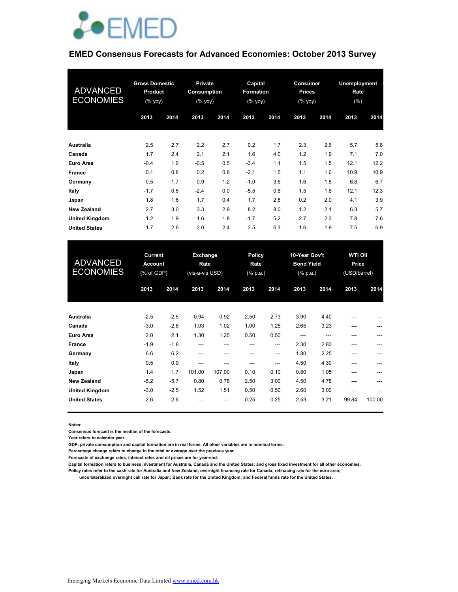

# **EMED Consensus Forecasts for Advanced Economies: October 2013 Survey**

| <b>ADVANCED</b><br><b>ECONOMIES</b> | <b>Gross Domestic</b><br><b>Product</b><br>(% yoy) |      | <b>Private</b><br><b>Consumption</b><br>$(% \mathsf{y}\right)$ (% $\overline{\mathsf{y}}$ oy) |      | Capital<br>Formation<br>$(%$ (% yoy) |      | Consumer<br><b>Prices</b><br>(% yoy) |      | Unemployment<br>Rate<br>(%) |      |
|-------------------------------------|----------------------------------------------------|------|-----------------------------------------------------------------------------------------------|------|--------------------------------------|------|--------------------------------------|------|-----------------------------|------|
|                                     | 2013                                               | 2014 | 2013                                                                                          | 2014 | 2013                                 | 2014 | 2013                                 | 2014 | 2013                        | 2014 |
| Australia                           | 2.5                                                | 2.7  | 2.2                                                                                           | 2.7  | 0.2                                  | 1.7  | 2.3                                  | 2.6  | 5.7                         | 5.8  |
| Canada                              | 1.7                                                | 2.4  | 2.1                                                                                           | 2.1  | 1.6                                  | 4.0  | 1.2                                  | 1.9  | 7.1                         | 7.0  |
| Euro Area                           | $-0.4$                                             | 1.0  | $-0.5$                                                                                        | 0.5  | $-3.4$                               | 1.1  | 1.5                                  | 1.5  | 12.1                        | 12.2 |
| <b>France</b>                       | 0.1                                                | 0.8  | 0.2                                                                                           | 0.8  | $-2.1$                               | 1.5  | 1.1                                  | 1.6  | 10.9                        | 10.9 |
| Germany                             | 0.5                                                | 1.7  | 0.9                                                                                           | 1.2  | $-1.0$                               | 3.6  | 1.6                                  | 1.8  | 6.8                         | 6.7  |
| Italy                               | $-1.7$                                             | 0.5  | $-2.4$                                                                                        | 0.0  | $-5.5$                               | 0.6  | 1.5                                  | 1.6  | 12.1                        | 12.3 |
| Japan                               | 1.8                                                | 1.6  | 1.7                                                                                           | 0.4  | 1.7                                  | 2.8  | 0.2                                  | 2.0  | 4.1                         | 3.9  |
| <b>New Zealand</b>                  | 2.7                                                | 3.0  | 3.3                                                                                           | 2.9  | 8.2                                  | 8.0  | 1.2                                  | 2.1  | 6.3                         | 5.7  |
| <b>United Kingdom</b>               | 1.2                                                | 1.9  | 1.6                                                                                           | 1.8  | $-1.7$                               | 5.2  | 2.7                                  | 2.3  | 7.8                         | 7.6  |
| <b>United States</b>                | 1.7                                                | 2.6  | 2.0                                                                                           | 2.4  | 3.5                                  | 6.3  | 1.6                                  | 1.9  | 7.5                         | 6.9  |

| <b>ADVANCED</b><br><b>ECONOMIES</b> | <b>Current</b><br><b>Account</b><br>(% of GDP) |        | Exchange<br>Rate<br>(vis-a-vis USD) |        | Policy<br>10-Year Gov't<br><b>Bond Yield</b><br>Rate<br>$(%$ (% p.a.)<br>$(% \mathbb{R}^2)$ (% p.a.) |      |      |      | <b>WTI Oil</b><br>Price<br>(USD/barrel) |        |  |
|-------------------------------------|------------------------------------------------|--------|-------------------------------------|--------|------------------------------------------------------------------------------------------------------|------|------|------|-----------------------------------------|--------|--|
|                                     | 2013                                           | 2014   | 2013                                | 2014   | 2013                                                                                                 | 2014 | 2013 | 2014 | 2013                                    | 2014   |  |
| <b>Australia</b>                    | $-2.5$                                         | $-2.5$ | 0.94                                | 0.92   | 2.50                                                                                                 | 2.73 | 3.90 | 4.40 |                                         |        |  |
| Canada                              | $-3.0$                                         | $-2.6$ | 1.03                                | 1.02   | 1.00                                                                                                 | 1.25 | 2.65 | 3.23 | ---                                     | ---    |  |
| Euro Area                           | 2.0                                            | 2.1    | 1.30                                | 1.25   | 0.50                                                                                                 | 0.50 | ---  | ---  | ---                                     | ---    |  |
| <b>France</b>                       | $-1.9$                                         | $-1.8$ | ---                                 | ---    | ---                                                                                                  | ---  | 2.30 | 2.83 | ---                                     |        |  |
| Germany                             | 6.6                                            | 6.2    | ---                                 | ---    | ---                                                                                                  | ---  | 1.80 | 2.25 | ---                                     |        |  |
| Italy                               | 0.5                                            | 0.9    | ---                                 | ---    | ---                                                                                                  | ---  | 4.50 | 4.30 | ---                                     | ---    |  |
| Japan                               | 1.4                                            | 1.7    | 101.00                              | 107.00 | 0.10                                                                                                 | 0.10 | 0.80 | 1.05 | ---                                     |        |  |
| <b>New Zealand</b>                  | $-5.2$                                         | $-5.7$ | 0.80                                | 0.78   | 2.50                                                                                                 | 3.00 | 4.50 | 4.78 | ---                                     |        |  |
| <b>United Kingdom</b>               | $-3.0$                                         | $-2.5$ | 1.52                                | 1.51   | 0.50                                                                                                 | 0.50 | 2.60 | 3.00 | ---                                     | ---    |  |
| <b>United States</b>                | $-2.6$                                         | $-2.6$ | ---                                 | ---    | 0.25                                                                                                 | 0.25 | 2.53 | 3.21 | 99.84                                   | 100.00 |  |

**Notes:** 

**Consensus forecast is the median of the forecasts.**

**Year refers to calendar year.**

**GDP, private consumption and capital formation are in real terms. All other variables are in nominal terms.**

**Percentage change refers to change in the total or average over the previous year.**

**Forecasts of exchange rates, interest rates and oil prices are for year-end.**

**Capital formation refers to business investment for Australia, Canada and the United States; and gross fixed investment for all other economies.**

**Policy rates refer to the cash rate for Australia and New Zealand; overnight financing rate for Canada; refinacing rate for the euro area;** 

 **uncollateralized overnight call rate for Japan; Bank rate for the United Kingdom; and Federal funds rate for the United States.**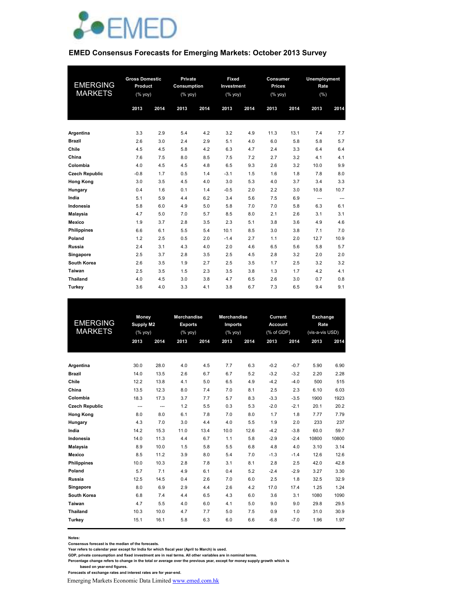

#### **EMED Consensus Forecasts for Emerging Markets: October 2013 Survey**

|                       | <b>Gross Domestic</b> |      | Private     |      |            | Fixed<br>Consumer |               |      | Unemployment |      |
|-----------------------|-----------------------|------|-------------|------|------------|-------------------|---------------|------|--------------|------|
| <b>EMERGING</b>       | Product               |      | Consumption |      | Investment |                   | <b>Prices</b> |      | Rate         |      |
| <b>MARKETS</b>        | $(%$ yoy)             |      | (% yoy)     |      | $(%$ yoy)  |                   | (% yoy)       |      | (%)          |      |
|                       | 2013                  | 2014 | 2013        | 2014 | 2013       | 2014              | 2013          | 2014 | 2013         | 2014 |
|                       |                       |      |             |      |            |                   |               |      |              |      |
|                       |                       |      |             |      |            |                   |               |      |              |      |
| Argentina             | 3.3                   | 2.9  | 5.4         | 4.2  | 3.2        | 4.9               | 11.3          | 13.1 | 7.4          | 7.7  |
| <b>Brazil</b>         | 2.6                   | 3.0  | 2.4         | 2.9  | 5.1        | 4.0               | 6.0           | 5.8  | 5.8          | 5.7  |
| Chile                 | 4.5                   | 4.5  | 5.8         | 4.2  | 6.3        | 4.7               | 2.4           | 3.3  | 6.4          | 6.4  |
| China                 | 7.6                   | 7.5  | 8.0         | 8.5  | 7.5        | 7.2               | 2.7           | 3.2  | 4.1          | 4.1  |
| Colombia              | 4.0                   | 4.5  | 4.5         | 4.8  | 6.5        | 9.3               | 2.6           | 3.2  | 10.0         | 9.9  |
| <b>Czech Republic</b> | $-0.8$                | 1.7  | 0.5         | 1.4  | $-3.1$     | 1.5               | 1.6           | 1.8  | 7.8          | 8.0  |
| <b>Hong Kong</b>      | 3.0                   | 3.5  | 4.5         | 4.0  | 3.0        | 5.3               | 4.0           | 3.7  | 3.4          | 3.3  |
| Hungary               | 0.4                   | 1.6  | 0.1         | 1.4  | $-0.5$     | 2.0               | 2.2           | 3.0  | 10.8         | 10.7 |
| India                 | 5.1                   | 5.9  | 4.4         | 6.2  | 3.4        | 5.6               | 7.5           | 6.9  | ---          | ---  |
| Indonesia             | 5.8                   | 6.0  | 4.9         | 5.0  | 5.8        | 7.0               | 7.0           | 5.8  | 6.3          | 6.1  |
| <b>Malaysia</b>       | 4.7                   | 5.0  | 7.0         | 5.7  | 8.5        | 8.0               | 2.1           | 2.6  | 3.1          | 3.1  |
| Mexico                | 1.9                   | 3.7  | 2.8         | 3.5  | 2.3        | 5.1               | 3.8           | 3.6  | 4.9          | 4.6  |
| <b>Philippines</b>    | 6.6                   | 6.1  | 5.5         | 5.4  | 10.1       | 8.5               | 3.0           | 3.8  | 7.1          | 7.0  |
| Poland                | 1.2                   | 2.5  | 0.5         | 2.0  | $-1.4$     | 2.7               | 1.1           | 2.0  | 12.7         | 10.9 |
| Russia                | 2.4                   | 3.1  | 4.3         | 4.0  | 2.0        | 4.6               | 6.5           | 5.6  | 5.8          | 5.7  |
| Singapore             | 2.5                   | 3.7  | 2.8         | 3.5  | 2.5        | 4.5               | 2.8           | 3.2  | 2.0          | 2.0  |
| South Korea           | 2.6                   | 3.5  | 1.9         | 2.7  | 2.5        | 3.5               | 1.7           | 2.5  | 3.2          | 3.2  |
| Taiwan                | 2.5                   | 3.5  | 1.5         | 2.3  | 3.5        | 3.8               | 1.3           | 1.7  | 4.2          | 4.1  |
| <b>Thailand</b>       | 4.0                   | 4.5  | 3.0         | 3.8  | 4.7        | 6.5               | 2.6           | 3.0  | 0.7          | 0.8  |
| <b>Turkev</b>         | 3.6                   | 4.0  | 3.3         | 4.1  | 3.8        | 6.7               | 7.3           | 6.5  | 9.4          | 9.1  |

| <b>EMERGING</b><br><b>MARKETS</b> |          | Money<br><b>Supply M2</b><br>(% yoy) |      | <b>Merchandise</b><br><b>Exports</b><br>$(%$ yoy) | <b>Merchandise</b><br>Imports<br>$(%$ yoy) |      |        | Current<br><b>Account</b><br>(% of GDP) |       | Exchange<br>Rate<br>(vis-a-vis USD) |  |
|-----------------------------------|----------|--------------------------------------|------|---------------------------------------------------|--------------------------------------------|------|--------|-----------------------------------------|-------|-------------------------------------|--|
|                                   | 2013     | 2014                                 | 2013 | 2014                                              | 2013                                       | 2014 | 2013   | 2014                                    | 2013  | 2014                                |  |
|                                   |          |                                      |      |                                                   |                                            |      |        |                                         |       |                                     |  |
| Argentina                         | 30.0     | 28.0                                 | 4.0  | 4.5                                               | 7.7                                        | 6.3  | $-0.2$ | $-0.7$                                  | 5.90  | 6.90                                |  |
| <b>Brazil</b>                     | 14.0     | 13.5                                 | 2.6  | 6.7                                               | 6.7                                        | 5.2  | $-3.2$ | $-3.2$                                  | 2.20  | 2.28                                |  |
| Chile                             | 12.2     | 13.8                                 | 4.1  | 5.0                                               | 6.5                                        | 4.9  | $-4.2$ | $-4.0$                                  | 500   | 515                                 |  |
| China                             | 13.5     | 12.3                                 | 8.0  | 7.4                                               | 7.0                                        | 8.1  | 2.5    | 2.3                                     | 6.10  | 6.03                                |  |
| Colombia                          | 18.3     | 17.3                                 | 3.7  | 7.7                                               | 5.7                                        | 8.3  | $-3.3$ | $-3.5$                                  | 1900  | 1923                                |  |
| <b>Czech Republic</b>             | $\cdots$ | $\overline{a}$                       | 1.2  | 5.5                                               | 0.3                                        | 5.3  | $-2.0$ | $-2.1$                                  | 20.1  | 20.2                                |  |
| <b>Hong Kong</b>                  | 8.0      | 8.0                                  | 6.1  | 7.8                                               | 7.0                                        | 8.0  | 1.7    | 1.8                                     | 7.77  | 7.79                                |  |
| Hungary                           | 4.3      | 7.0                                  | 3.0  | 4.4                                               | 4.0                                        | 5.5  | 1.9    | 2.0                                     | 233   | 237                                 |  |
| India                             | 14.2     | 15.3                                 | 11.0 | 13.4                                              | 10.0                                       | 12.6 | $-4.2$ | $-3.8$                                  | 60.0  | 59.7                                |  |
| Indonesia                         | 14.0     | 11.3                                 | 4.4  | 6.7                                               | 1.1                                        | 5.8  | $-2.9$ | $-2.4$                                  | 10800 | 10800                               |  |
| Malaysia                          | 8.9      | 10.0                                 | 1.5  | 5.8                                               | 5.5                                        | 6.8  | 4.8    | 4.0                                     | 3.10  | 3.14                                |  |
| Mexico                            | 8.5      | 11.2                                 | 3.9  | 8.0                                               | 5.4                                        | 7.0  | $-1.3$ | $-1.4$                                  | 12.6  | 12.6                                |  |
| <b>Philippines</b>                | 10.0     | 10.3                                 | 2.8  | 7.8                                               | 3.1                                        | 8.1  | 2.8    | 2.5                                     | 42.0  | 42.8                                |  |
| Poland                            | 5.7      | 7.1                                  | 4.9  | 6.1                                               | 0.4                                        | 5.2  | $-2.4$ | $-2.9$                                  | 3.27  | 3.30                                |  |
| Russia                            | 12.5     | 14.5                                 | 0.4  | 2.6                                               | 7.0                                        | 6.0  | 2.5    | 1.8                                     | 32.5  | 32.9                                |  |
| Singapore                         | 8.0      | 6.9                                  | 2.9  | 4.4                                               | 2.6                                        | 4.2  | 17.0   | 17.4                                    | 1.25  | 1.24                                |  |
| South Korea                       | 6.8      | 7.4                                  | 4.4  | 6.5                                               | 4.3                                        | 6.0  | 3.6    | 3.1                                     | 1080  | 1090                                |  |
| Taiwan                            | 4.7      | 5.5                                  | 4.0  | 6.0                                               | 4.1                                        | 5.0  | 9.0    | 9.0                                     | 29.8  | 29.5                                |  |
| <b>Thailand</b>                   | 10.3     | 10.0                                 | 4.7  | 7.7                                               | 5.0                                        | 7.5  | 0.9    | 1.0                                     | 31.0  | 30.9                                |  |
| Turkey                            | 15.1     | 16.1                                 | 5.8  | 6.3                                               | 6.0                                        | 6.6  | $-6.8$ | $-7.0$                                  | 1.96  | 1.97                                |  |

**Notes:** 

**Consensus forecast is the median of the forecasts.**

**Year refers to calendar year except for India for which fiscal year (April to March) is used.**

**GDP, private consumption and fixed investment are in real terms. All other variables are in nominal terms.**

**Percentage change refers to change in the total or average over the previous year, except for money supply growth which is** 

 **based on year-end figures. Forecasts of exchange rates and interest rates are for year-end.**

Emerging Markets Economic Data Limited www.emed.com.hk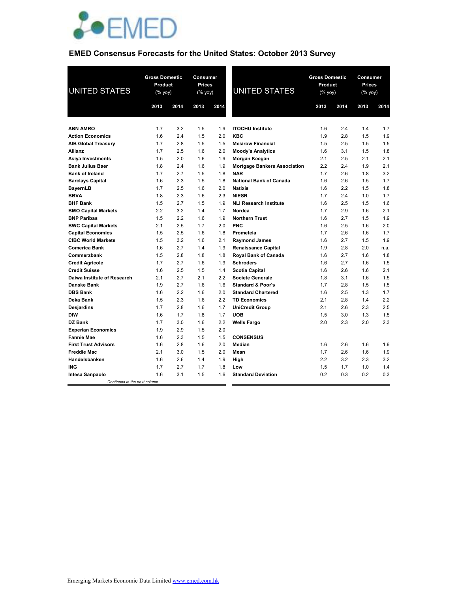

# **EMED Consensus Forecasts for the United States: October 2013 Survey**

| <b>UNITED STATES</b>         | <b>Gross Domestic</b><br>Product<br>(% yoy) |      | <b>Consumer</b><br><b>Prices</b><br>(% yoy) |      | <b>UNITED STATES</b>                | <b>Gross Domestic</b><br>Product<br>(% yoy) |      | Consumer<br><b>Prices</b><br>(% yoy) |      |
|------------------------------|---------------------------------------------|------|---------------------------------------------|------|-------------------------------------|---------------------------------------------|------|--------------------------------------|------|
|                              | 2013                                        | 2014 | 2013                                        | 2014 |                                     | 2013                                        | 2014 | 2013                                 | 2014 |
|                              |                                             |      |                                             |      |                                     |                                             |      |                                      |      |
| <b>ABN AMRO</b>              | 1.7                                         | 3.2  | 1.5                                         | 1.9  | <b>ITOCHU Institute</b>             | 1.6                                         | 2.4  | 1.4                                  | 1.7  |
| <b>Action Economics</b>      | 1.6                                         | 2.4  | 1.5                                         | 2.0  | <b>KBC</b>                          | 1.9                                         | 2.8  | 1.5                                  | 1.9  |
| <b>AIB Global Treasury</b>   | 1.7                                         | 2.8  | 1.5                                         | 1.5  | <b>Mesirow Financial</b>            | 1.5                                         | 2.5  | 1.5                                  | 1.5  |
| <b>Allianz</b>               | 1.7                                         | 2.5  | 1.6                                         | 2.0  | <b>Moody's Analytics</b>            | 1.6                                         | 3.1  | 1.5                                  | 1.8  |
| Asiya Investments            | 1.5                                         | 2.0  | 1.6                                         | 1.9  | Morgan Keegan                       | 2.1                                         | 2.5  | 2.1                                  | 2.1  |
| <b>Bank Julius Baer</b>      | 1.8                                         | 2.4  | 1.6                                         | 1.9  | <b>Mortgage Bankers Association</b> | 2.2                                         | 2.4  | 1.9                                  | 2.1  |
| <b>Bank of Ireland</b>       | 1.7                                         | 2.7  | 1.5                                         | 1.8  | <b>NAR</b>                          | 1.7                                         | 2.6  | 1.8                                  | 3.2  |
| <b>Barclays Capital</b>      | 1.6                                         | 2.3  | 1.5                                         | 1.8  | <b>National Bank of Canada</b>      | 1.6                                         | 2.6  | 1.5                                  | 1.7  |
| <b>BayernLB</b>              | 1.7                                         | 2.5  | 1.6                                         | 2.0  | <b>Natixis</b>                      | 1.6                                         | 2.2  | 1.5                                  | 1.8  |
| <b>BBVA</b>                  | 1.8                                         | 2.3  | 1.6                                         | 2.3  | <b>NIESR</b>                        | 1.7                                         | 2.4  | 1.0                                  | 1.7  |
| <b>BHF Bank</b>              | 1.5                                         | 2.7  | 1.5                                         | 1.9  | <b>NLI Research Institute</b>       | 1.6                                         | 2.5  | 1.5                                  | 1.6  |
| <b>BMO Capital Markets</b>   | 2.2                                         | 3.2  | 1.4                                         | 1.7  | Nordea                              | 1.7                                         | 2.9  | 1.6                                  | 2.1  |
| <b>BNP Paribas</b>           | 1.5                                         | 2.2  | 1.6                                         | 1.9  | <b>Northern Trust</b>               | 1.6                                         | 2.7  | 1.5                                  | 1.9  |
| <b>BWC Capital Markets</b>   | 2.1                                         | 2.5  | 1.7                                         | 2.0  | <b>PNC</b>                          | 1.6                                         | 2.5  | 1.6                                  | 2.0  |
| <b>Capital Economics</b>     | 1.5                                         | 2.5  | 1.6                                         | 1.8  | Prometeia                           | 1.7                                         | 2.6  | 1.6                                  | 1.7  |
| <b>CIBC World Markets</b>    | 1.5                                         | 3.2  | 1.6                                         | 2.1  | <b>Raymond James</b>                | 1.6                                         | 2.7  | 1.5                                  | 1.9  |
| <b>Comerica Bank</b>         | 1.6                                         | 2.7  | 1.4                                         | 1.9  | <b>Renaissance Capital</b>          | 1.9                                         | 2.8  | 2.0                                  | n.a. |
| Commerzbank                  | 1.5                                         | 2.8  | 1.8                                         | 1.8  | Royal Bank of Canada                | 1.6                                         | 2.7  | 1.6                                  | 1.8  |
| <b>Credit Agricole</b>       | 1.7                                         | 2.7  | 1.6                                         | 1.9  | <b>Schroders</b>                    | 1.6                                         | 2.7  | 1.6                                  | 1.5  |
| <b>Credit Suisse</b>         | 1.6                                         | 2.5  | 1.5                                         | 1.4  | <b>Scotia Capital</b>               | 1.6                                         | 2.6  | 1.6                                  | 2.1  |
| Daiwa Institute of Research  | 2.1                                         | 2.7  | 2.1                                         | 2.2  | <b>Societe Generale</b>             | 1.8                                         | 3.1  | 1.6                                  | 1.5  |
| <b>Danske Bank</b>           | 1.9                                         | 2.7  | 1.6                                         | 1.6  | <b>Standard &amp; Poor's</b>        | 1.7                                         | 2.8  | 1.5                                  | 1.5  |
| <b>DBS Bank</b>              | 1.6                                         | 2.2  | 1.6                                         | 2.0  | <b>Standard Chartered</b>           | 1.6                                         | 2.5  | 1.3                                  | 1.7  |
| <b>Deka Bank</b>             | 1.5                                         | 2.3  | 1.6                                         | 2.2  | <b>TD Economics</b>                 | 2.1                                         | 2.8  | 1.4                                  | 2.2  |
| <b>Desjardins</b>            | 1.7                                         | 2.8  | 1.6                                         | 1.7  | <b>UniCredit Group</b>              | 2.1                                         | 2.6  | 2.3                                  | 2.5  |
| <b>DIW</b>                   | 1.6                                         | 1.7  | 1.8                                         | 1.7  | <b>UOB</b>                          | 1.5                                         | 3.0  | 1.3                                  | 1.5  |
| DZ Bank                      | 1.7                                         | 3.0  | 1.6                                         | 2.2  | <b>Wells Fargo</b>                  | 2.0                                         | 2.3  | 2.0                                  | 2.3  |
| <b>Experian Economics</b>    | 1.9                                         | 2.9  | 1.5                                         | 2.0  |                                     |                                             |      |                                      |      |
| <b>Fannie Mae</b>            | 1.6                                         | 2.3  | 1.5                                         | 1.5  | <b>CONSENSUS</b>                    |                                             |      |                                      |      |
| <b>First Trust Advisors</b>  | 1.6                                         | 2.8  | 1.6                                         | 2.0  | Median                              | 1.6                                         | 2.6  | 1.6                                  | 1.9  |
| <b>Freddie Mac</b>           | 2.1                                         | 3.0  | 1.5                                         | 2.0  | Mean                                | 1.7                                         | 2.6  | 1.6                                  | 1.9  |
| Handelsbanken                | 1.6                                         | 2.6  | 1.4                                         | 1.9  | High                                | 2.2                                         | 3.2  | 2.3                                  | 3.2  |
| <b>ING</b>                   | 1.7                                         | 2.7  | 1.7                                         | 1.8  | Low                                 | 1.5                                         | 1.7  | 1.0                                  | 1.4  |
| <b>Intesa Sanpaolo</b>       | 1.6                                         | 3.1  | 1.5                                         | 1.6  | <b>Standard Deviation</b>           | 0.2                                         | 0.3  | 0.2                                  | 0.3  |
| Continues in the next column |                                             |      |                                             |      |                                     |                                             |      |                                      |      |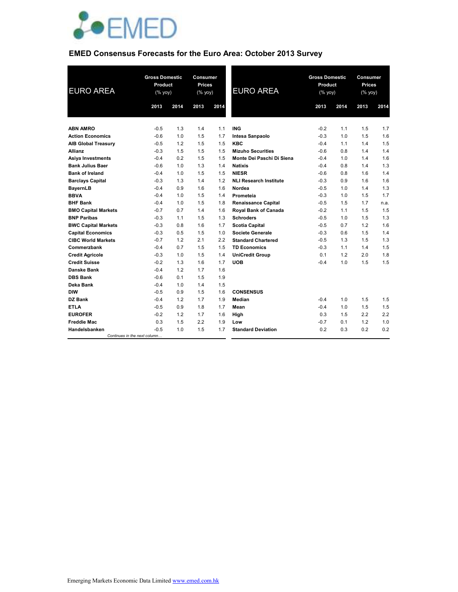

# **EMED Consensus Forecasts for the Euro Area: October 2013 Survey**

| <b>EURO AREA</b>           | <b>Gross Domestic</b><br>Product<br>(% yoy) |      | <b>Gross Domestic</b><br>Consumer<br><b>Prices</b><br>Product<br><b>EURO AREA</b><br>(% yoy)<br>(% yoy) |      |                               | Consumer<br><b>Prices</b><br>(% yoy) |      |      |      |
|----------------------------|---------------------------------------------|------|---------------------------------------------------------------------------------------------------------|------|-------------------------------|--------------------------------------|------|------|------|
|                            | 2013                                        | 2014 | 2013                                                                                                    | 2014 |                               | 2013                                 | 2014 | 2013 | 2014 |
|                            |                                             |      |                                                                                                         |      |                               |                                      |      |      |      |
| <b>ABN AMRO</b>            | $-0.5$                                      | 1.3  | 1.4                                                                                                     | 1.1  | <b>ING</b>                    | $-0.2$                               | 1.1  | 1.5  | 1.7  |
| <b>Action Economics</b>    | $-0.6$                                      | 1.0  | 1.5                                                                                                     | 1.7  | Intesa Sanpaolo               | $-0.3$                               | 1.0  | 1.5  | 1.6  |
| <b>AIB Global Treasury</b> | $-0.5$                                      | 1.2  | 1.5                                                                                                     | 1.5  | <b>KBC</b>                    | $-0.4$                               | 1.1  | 1.4  | 1.5  |
| <b>Allianz</b>             | $-0.3$                                      | 1.5  | 1.5                                                                                                     | 1.5  | <b>Mizuho Securities</b>      | $-0.6$                               | 0.8  | 1.4  | 1.4  |
| Asiya Investments          | $-0.4$                                      | 0.2  | 1.5                                                                                                     | 1.5  | Monte Dei Paschi Di Siena     | $-0.4$                               | 1.0  | 1.4  | 1.6  |
| <b>Bank Julius Baer</b>    | $-0.6$                                      | 1.0  | 1.3                                                                                                     | 1.4  | <b>Natixis</b>                | $-0.4$                               | 0.8  | 1.4  | 1.3  |
| <b>Bank of Ireland</b>     | $-0.4$                                      | 1.0  | 1.5                                                                                                     | 1.5  | <b>NIESR</b>                  | $-0.6$                               | 0.8  | 1.6  | 1.4  |
| <b>Barclays Capital</b>    | $-0.3$                                      | 1.3  | 1.4                                                                                                     | 1.2  | <b>NLI Research Institute</b> | $-0.3$                               | 0.9  | 1.6  | 1.6  |
| <b>BayernLB</b>            | $-0.4$                                      | 0.9  | 1.6                                                                                                     | 1.6  | Nordea                        | $-0.5$                               | 1.0  | 1.4  | 1.3  |
| <b>BBVA</b>                | $-0.4$                                      | 1.0  | 1.5                                                                                                     | 1.4  | Prometeia                     | $-0.3$                               | 1.0  | 1.5  | 1.7  |
| <b>BHF Bank</b>            | $-0.4$                                      | 1.0  | 1.5                                                                                                     | 1.8  | <b>Renaissance Capital</b>    | $-0.5$                               | 1.5  | 1.7  | n.a. |
| <b>BMO Capital Markets</b> | $-0.7$                                      | 0.7  | 1.4                                                                                                     | 1.6  | Royal Bank of Canada          | $-0.2$                               | 1.1  | 1.5  | 1.5  |
| <b>BNP Paribas</b>         | $-0.3$                                      | 1.1  | 1.5                                                                                                     | 1.3  | <b>Schroders</b>              | $-0.5$                               | 1.0  | 1.5  | 1.3  |
| <b>BWC Capital Markets</b> | $-0.3$                                      | 0.8  | 1.6                                                                                                     | 1.7  | <b>Scotia Capital</b>         | $-0.5$                               | 0.7  | 1.2  | 1.6  |
| <b>Capital Economics</b>   | $-0.3$                                      | 0.5  | 1.5                                                                                                     | 1.0  | <b>Societe Generale</b>       | $-0.3$                               | 0.6  | 1.5  | 1.4  |
| <b>CIBC World Markets</b>  | $-0.7$                                      | 1.2  | 2.1                                                                                                     | 2.2  | <b>Standard Chartered</b>     | $-0.5$                               | 1.3  | 1.5  | 1.3  |
| Commerzbank                | $-0.4$                                      | 0.7  | 1.5                                                                                                     | 1.5  | <b>TD Economics</b>           | $-0.3$                               | 1.1  | 1.4  | 1.5  |
| <b>Credit Agricole</b>     | $-0.3$                                      | 1.0  | 1.5                                                                                                     | 1.4  | <b>UniCredit Group</b>        | 0.1                                  | 1.2  | 2.0  | 1.8  |
| <b>Credit Suisse</b>       | $-0.2$                                      | 1.3  | 1.6                                                                                                     | 1.7  | <b>UOB</b>                    | $-0.4$                               | 1.0  | 1.5  | 1.5  |
| Danske Bank                | $-0.4$                                      | 1.2  | 1.7                                                                                                     | 1.6  |                               |                                      |      |      |      |
| <b>DBS Bank</b>            | $-0.6$                                      | 0.1  | 1.5                                                                                                     | 1.9  |                               |                                      |      |      |      |
| Deka Bank                  | $-0.4$                                      | 1.0  | 1.4                                                                                                     | 1.5  |                               |                                      |      |      |      |
| <b>DIW</b>                 | $-0.5$                                      | 0.9  | 1.5                                                                                                     | 1.6  | <b>CONSENSUS</b>              |                                      |      |      |      |
| <b>DZ Bank</b>             | $-0.4$                                      | 1.2  | 1.7                                                                                                     | 1.9  | Median                        | $-0.4$                               | 1.0  | 1.5  | 1.5  |
| <b>ETLA</b>                | $-0.5$                                      | 0.9  | 1.8                                                                                                     | 1.7  | Mean                          | $-0.4$                               | 1.0  | 1.5  | 1.5  |
| <b>EUROFER</b>             | $-0.2$                                      | 1.2  | 1.7                                                                                                     | 1.6  | High                          | 0.3                                  | 1.5  | 2.2  | 2.2  |
| <b>Freddie Mac</b>         | 0.3                                         | 1.5  | 2.2                                                                                                     | 1.9  | Low                           | $-0.7$                               | 0.1  | 1.2  | 1.0  |
| Handelsbanken              | $-0.5$                                      | 1.0  | 1.5                                                                                                     | 1.7  | <b>Standard Deviation</b>     | 0.2                                  | 0.3  | 0.2  | 0.2  |
|                            | Continues in the next column                |      |                                                                                                         |      |                               |                                      |      |      |      |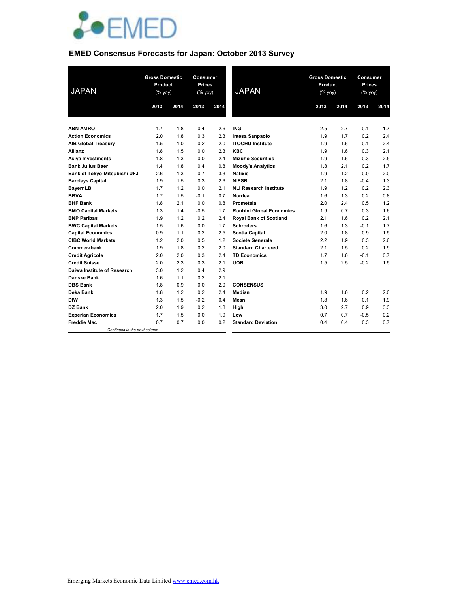

# **EMED Consensus Forecasts for Japan: October 2013 Survey**

| <b>JAPAN</b>                 | <b>Gross Domestic</b><br>Product<br>(% yoy) |      | Consumer<br><b>Prices</b><br>(% yoy) |      | <b>JAPAN</b>                    | <b>Gross Domestic</b><br>Product<br>$(\%$ yoy) |      | Consumer<br><b>Prices</b><br>(% yoy) |      |
|------------------------------|---------------------------------------------|------|--------------------------------------|------|---------------------------------|------------------------------------------------|------|--------------------------------------|------|
|                              | 2013                                        | 2014 | 2013                                 | 2014 |                                 | 2013                                           | 2014 | 2013                                 | 2014 |
|                              |                                             |      |                                      |      |                                 |                                                |      |                                      |      |
| <b>ABN AMRO</b>              | 1.7                                         | 1.8  | 0.4                                  | 2.6  | <b>ING</b>                      | 2.5                                            | 2.7  | $-0.1$                               | 1.7  |
| <b>Action Economics</b>      | 2.0                                         | 1.8  | 0.3                                  | 2.3  | Intesa Sanpaolo                 | 1.9                                            | 1.7  | 0.2                                  | 2.4  |
| <b>AIB Global Treasury</b>   | 1.5                                         | 1.0  | $-0.2$                               | 2.0  | <b>ITOCHU Institute</b>         | 1.9                                            | 1.6  | 0.1                                  | 2.4  |
| <b>Allianz</b>               | 1.8                                         | 1.5  | 0.0                                  | 2.3  | <b>KBC</b>                      | 1.9                                            | 1.6  | 0.3                                  | 2.1  |
| <b>Asiya Investments</b>     | 1.8                                         | 1.3  | 0.0                                  | 2.4  | <b>Mizuho Securities</b>        | 1.9                                            | 1.6  | 0.3                                  | 2.5  |
| <b>Bank Julius Baer</b>      | 1.4                                         | 1.8  | 0.4                                  | 0.8  | <b>Moody's Analytics</b>        | 1.8                                            | 2.1  | 0.2                                  | 1.7  |
| Bank of Tokyo-Mitsubishi UFJ | 2.6                                         | 1.3  | 0.7                                  | 3.3  | <b>Natixis</b>                  | 1.9                                            | 1.2  | 0.0                                  | 2.0  |
| <b>Barclays Capital</b>      | 1.9                                         | 1.5  | 0.3                                  | 2.6  | <b>NIESR</b>                    | 2.1                                            | 1.8  | $-0.4$                               | 1.3  |
| BayernLB                     | 1.7                                         | 1.2  | 0.0                                  | 2.1  | <b>NLI Research Institute</b>   | 1.9                                            | 1.2  | 0.2                                  | 2.3  |
| <b>BBVA</b>                  | 1.7                                         | 1.5  | $-0.1$                               | 0.7  | Nordea                          | 1.6                                            | 1.3  | 0.2                                  | 0.8  |
| <b>BHF Bank</b>              | 1.8                                         | 2.1  | 0.0                                  | 0.8  | Prometeia                       | 2.0                                            | 2.4  | 0.5                                  | 1.2  |
| <b>BMO Capital Markets</b>   | 1.3                                         | 1.4  | $-0.5$                               | 1.7  | <b>Roubini Global Economics</b> | 1.9                                            | 0.7  | 0.3                                  | 1.6  |
| <b>BNP Paribas</b>           | 1.9                                         | 1.2  | 0.2                                  | 2.4  | <b>Royal Bank of Scotland</b>   | 2.1                                            | 1.6  | 0.2                                  | 2.1  |
| <b>BWC Capital Markets</b>   | 1.5                                         | 1.6  | 0.0                                  | 1.7  | <b>Schroders</b>                | 1.6                                            | 1.3  | $-0.1$                               | 1.7  |
| <b>Capital Economics</b>     | 0.9                                         | 1.1  | 0.2                                  | 2.5  | <b>Scotia Capital</b>           | 2.0                                            | 1.8  | 0.9                                  | 1.5  |
| <b>CIBC World Markets</b>    | 1.2                                         | 2.0  | 0.5                                  | 1.2  | <b>Societe Generale</b>         | 2.2                                            | 1.9  | 0.3                                  | 2.6  |
| Commerzbank                  | 1.9                                         | 1.8  | 0.2                                  | 2.0  | <b>Standard Chartered</b>       | 2.1                                            | 1.5  | 0.2                                  | 1.9  |
| <b>Credit Agricole</b>       | 2.0                                         | 2.0  | 0.3                                  | 2.4  | <b>TD Economics</b>             | 1.7                                            | 1.6  | $-0.1$                               | 0.7  |
| <b>Credit Suisse</b>         | 2.0                                         | 2.3  | 0.3                                  | 2.1  | <b>UOB</b>                      | 1.5                                            | 2.5  | $-0.2$                               | 1.5  |
| Daiwa Institute of Research  | 3.0                                         | 1.2  | 0.4                                  | 2.9  |                                 |                                                |      |                                      |      |
| <b>Danske Bank</b>           | 1.6                                         | 1.1  | 0.2                                  | 2.1  |                                 |                                                |      |                                      |      |
| <b>DBS Bank</b>              | 1.8                                         | 0.9  | 0.0                                  | 2.0  | <b>CONSENSUS</b>                |                                                |      |                                      |      |
| Deka Bank                    | 1.8                                         | 1.2  | 0.2                                  | 2.4  | Median                          | 1.9                                            | 1.6  | 0.2                                  | 2.0  |
| <b>DIW</b>                   | 1.3                                         | 1.5  | $-0.2$                               | 0.4  | Mean                            | 1.8                                            | 1.6  | 0.1                                  | 1.9  |
| DZ Bank                      | 2.0                                         | 1.9  | 0.2                                  | 1.8  | High                            | 3.0                                            | 2.7  | 0.9                                  | 3.3  |
| <b>Experian Economics</b>    | 1.7                                         | 1.5  | 0.0                                  | 1.9  | Low                             | 0.7                                            | 0.7  | $-0.5$                               | 0.2  |
| <b>Freddie Mac</b>           | 0.7                                         | 0.7  | 0.0                                  | 0.2  | <b>Standard Deviation</b>       | 0.4                                            | 0.4  | 0.3                                  | 0.7  |
| Continues in the next column |                                             |      |                                      |      |                                 |                                                |      |                                      |      |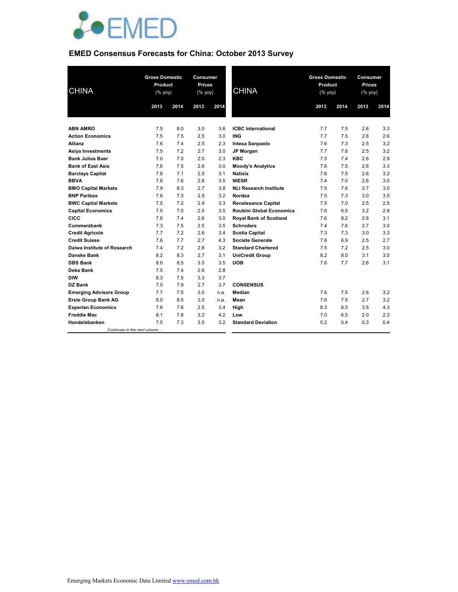

# **EMED Consensus Forecasts for China: October 2013 Survey**

| <b>CHINA</b>                   | <b>Gross Domestic</b><br>Product<br>(% yoy) |      | Consumer<br><b>Prices</b><br>(% yoy) |      | <b>CHINA</b>                    | <b>Gross Domestic</b><br>Product<br>(% yoy) |      | Consumer<br><b>Prices</b><br>(% yoy) |      |
|--------------------------------|---------------------------------------------|------|--------------------------------------|------|---------------------------------|---------------------------------------------|------|--------------------------------------|------|
|                                | 2013                                        | 2014 | 2013                                 | 2014 |                                 | 2013                                        | 2014 | 2013                                 | 2014 |
|                                |                                             |      |                                      |      |                                 |                                             |      |                                      |      |
| <b>ABN AMRO</b>                | 7.5                                         | 8.0  | 3.0                                  | 3.6  | <b>ICBC</b> International       | 7.7                                         | 7.5  | 2.6                                  | 3.3  |
| <b>Action Economics</b>        | 7.5                                         | 7.5  | 2.5                                  | 3.0  | <b>ING</b>                      | 7.7                                         | 7.5  | 2.6                                  | 2.6  |
| Allianz                        | 7.6                                         | 7.4  | 2.5                                  | 2.3  | Intesa Sanpaolo                 | 7.6                                         | 7.3  | 2.5                                  | 3.2  |
| <b>Asiya Investments</b>       | 7.5                                         | 7.2  | 2.7                                  | 3.0  | <b>JP Morgan</b>                | 7.7                                         | 7.6  | 2.5                                  | 3.2  |
| <b>Bank Julius Baer</b>        | 7.0                                         | 7.0  | 2.0                                  | 2.3  | <b>KBC</b>                      | 7.5                                         | 7.4  | 2.6                                  | 2.9  |
| <b>Bank of East Asia</b>       | 7.6                                         | 7.5  | 2.6                                  | 3.0  | <b>Moody's Analytics</b>        | 7.6                                         | 7.5  | 2.6                                  | 3.3  |
| <b>Barclays Capital</b>        | 7.6                                         | 7.1  | 2.5                                  | 3.1  | <b>Natixis</b>                  | 7.6                                         | 7.5  | 2.6                                  | 3.2  |
| <b>BBVA</b>                    | 7.6                                         | 7.6  | 2.8                                  | 3.5  | <b>NIESR</b>                    | 7.4                                         | 7.0  | 2.6                                  | 3.0  |
| <b>BMO Capital Markets</b>     | 7.9                                         | 8.3  | 2.7                                  | 3.8  | <b>NLI Research Institute</b>   | 7.5                                         | 7.6  | 2.7                                  | 3.0  |
| <b>BNP Paribas</b>             | 7.6                                         | 7.3  | 2.9                                  | 3.2  | Nordea                          | 7.5                                         | 7.3  | 3.0                                  | 3.5  |
| <b>BWC Capital Markets</b>     | 7.5                                         | 7.2  | 2.9                                  | 3.3  | <b>Renaissance Capital</b>      | 7.5                                         | 7.0  | 2.5                                  | 2.5  |
| <b>Capital Economics</b>       | 7.5                                         | 7.0  | 2.5                                  | 3.5  | <b>Roubini Global Economics</b> | 7.6                                         | 6.5  | 3.2                                  | 2.9  |
| <b>CICC</b>                    | 7.6                                         | 7.4  | 2.6                                  | 3.0  | <b>Royal Bank of Scotland</b>   | 7.6                                         | 8.2  | 2.6                                  | 3.1  |
| Commerzbank                    | 7.3                                         | 7.5  | 2.5                                  | 3.5  | <b>Schroders</b>                | 7.4                                         | 7.6  | 2.7                                  | 3.0  |
| <b>Credit Agricole</b>         | 7.7                                         | 7.2  | 2.6                                  | 3.4  | <b>Scotia Capital</b>           | 7.3                                         | 7.3  | 3.0                                  | 3.3  |
| <b>Credit Suisse</b>           | 7.6                                         | 7.7  | 2.7                                  | 4.3  | <b>Societe Generale</b>         | 7.6                                         | 6.9  | 2.5                                  | 2.7  |
| Daiwa Institute of Research    | 7.4                                         | 7.2  | 2.8                                  | 3.2  | <b>Standard Chartered</b>       | 7.5                                         | 7.2  | 2.5                                  | 3.0  |
| <b>Danske Bank</b>             | 8.2                                         | 8.3  | 2.7                                  | 3.1  | <b>UniCredit Group</b>          | 8.2                                         | 8.0  | 3.1                                  | 3.5  |
| <b>DBS Bank</b>                | 8.0                                         | 8.5  | 3.5                                  | 3.5  | <b>UOB</b>                      | 7.6                                         | 7.7  | 2.6                                  | 3.1  |
| Deka Bank                      | 7.5                                         | 7.4  | 2.6                                  | 2.8  |                                 |                                             |      |                                      |      |
| <b>DIW</b>                     | 8.3                                         | 7.5  | 3.3                                  | 3.7  |                                 |                                             |      |                                      |      |
| DZ Bank                        | 7.5                                         | 7.9  | 2.7                                  | 3.7  | <b>CONSENSUS</b>                |                                             |      |                                      |      |
| <b>Emerging Advisors Group</b> | 7.7                                         | 7.5  | 3.0                                  | n.a. | <b>Median</b>                   | 7.6                                         | 7.5  | 2.6                                  | 3.2  |
| <b>Erste Group Bank AG</b>     | 8.0                                         | 8.5  | 3.0                                  | n.a. | Mean                            | 7.6                                         | 7.5  | 2.7                                  | 3.2  |
| <b>Experian Economics</b>      | 7.6                                         | 7.6  | 2.5                                  | 3.4  | High                            | 8.3                                         | 8.5  | 3.5                                  | 4.3  |
| <b>Freddie Mac</b>             | 8.1                                         | 7.8  | 3.2                                  | 4.2  | Low                             | 7.0                                         | 6.5  | 2.0                                  | 2.3  |
| Handelsbanken                  | 7.5                                         | 7.3  | 3.5                                  | 3.2  | <b>Standard Deviation</b>       | 0.2                                         | 0.4  | 0.3                                  | 0.4  |
| Continues in the next column   |                                             |      |                                      |      |                                 |                                             |      |                                      |      |